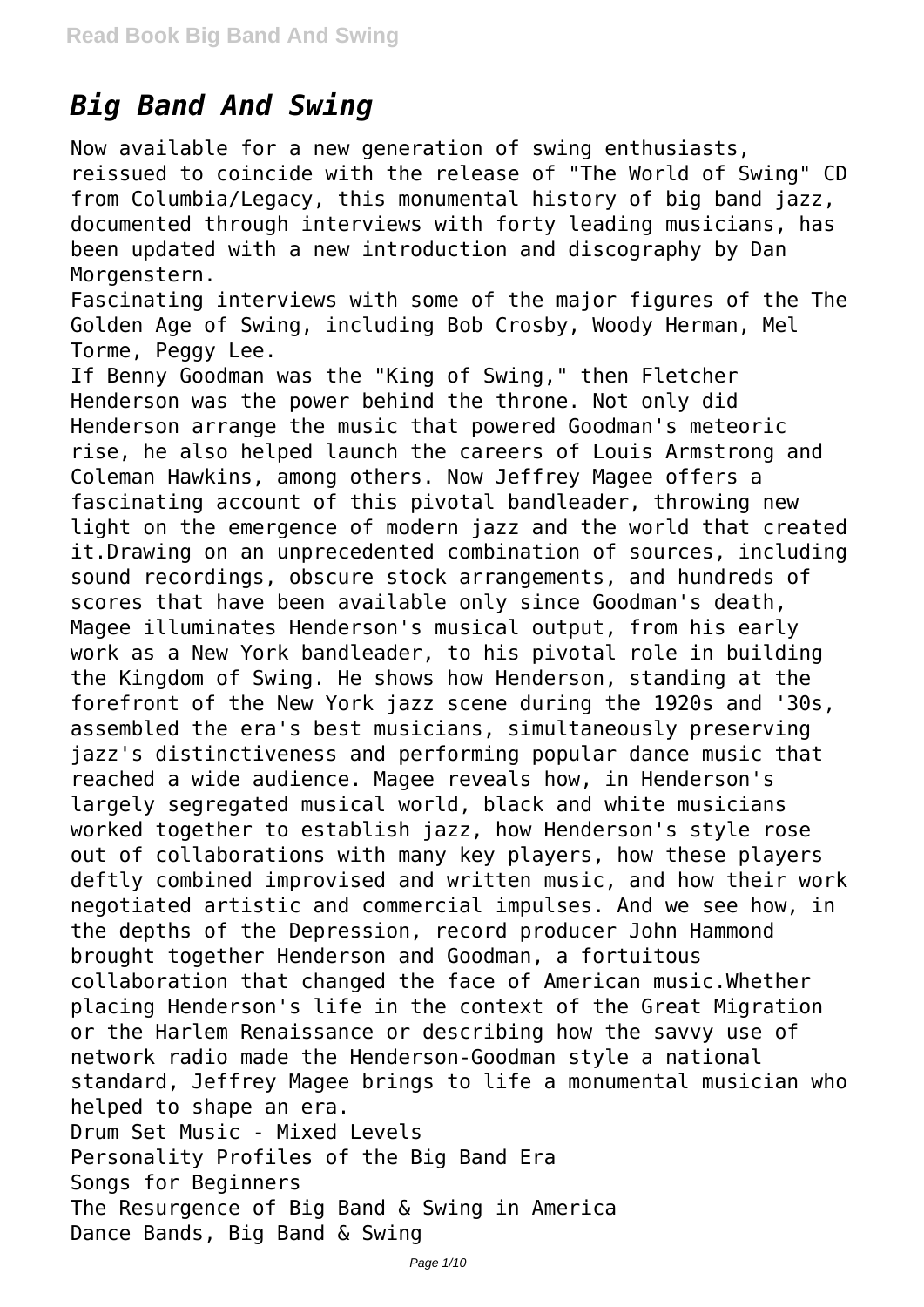## *Big Band And Swing*

Now available for a new generation of swing enthusiasts, reissued to coincide with the release of "The World of Swing" CD from Columbia/Legacy, this monumental history of big band jazz, documented through interviews with forty leading musicians, has been updated with a new introduction and discography by Dan Morgenstern.

Fascinating interviews with some of the major figures of the The Golden Age of Swing, including Bob Crosby, Woody Herman, Mel Torme, Peggy Lee.

If Benny Goodman was the "King of Swing," then Fletcher Henderson was the power behind the throne. Not only did Henderson arrange the music that powered Goodman's meteoric rise, he also helped launch the careers of Louis Armstrong and Coleman Hawkins, among others. Now Jeffrey Magee offers a fascinating account of this pivotal bandleader, throwing new light on the emergence of modern jazz and the world that created it.Drawing on an unprecedented combination of sources, including sound recordings, obscure stock arrangements, and hundreds of scores that have been available only since Goodman's death, Magee illuminates Henderson's musical output, from his early work as a New York bandleader, to his pivotal role in building the Kingdom of Swing. He shows how Henderson, standing at the forefront of the New York jazz scene during the 1920s and '30s, assembled the era's best musicians, simultaneously preserving jazz's distinctiveness and performing popular dance music that reached a wide audience. Magee reveals how, in Henderson's largely segregated musical world, black and white musicians worked together to establish jazz, how Henderson's style rose out of collaborations with many key players, how these players deftly combined improvised and written music, and how their work negotiated artistic and commercial impulses. And we see how, in the depths of the Depression, record producer John Hammond brought together Henderson and Goodman, a fortuitous collaboration that changed the face of American music.Whether placing Henderson's life in the context of the Great Migration or the Harlem Renaissance or describing how the savvy use of network radio made the Henderson-Goodman style a national standard, Jeffrey Magee brings to life a monumental musician who helped to shape an era. Drum Set Music - Mixed Levels Personality Profiles of the Big Band Era Songs for Beginners The Resurgence of Big Band & Swing in America Dance Bands, Big Band & Swing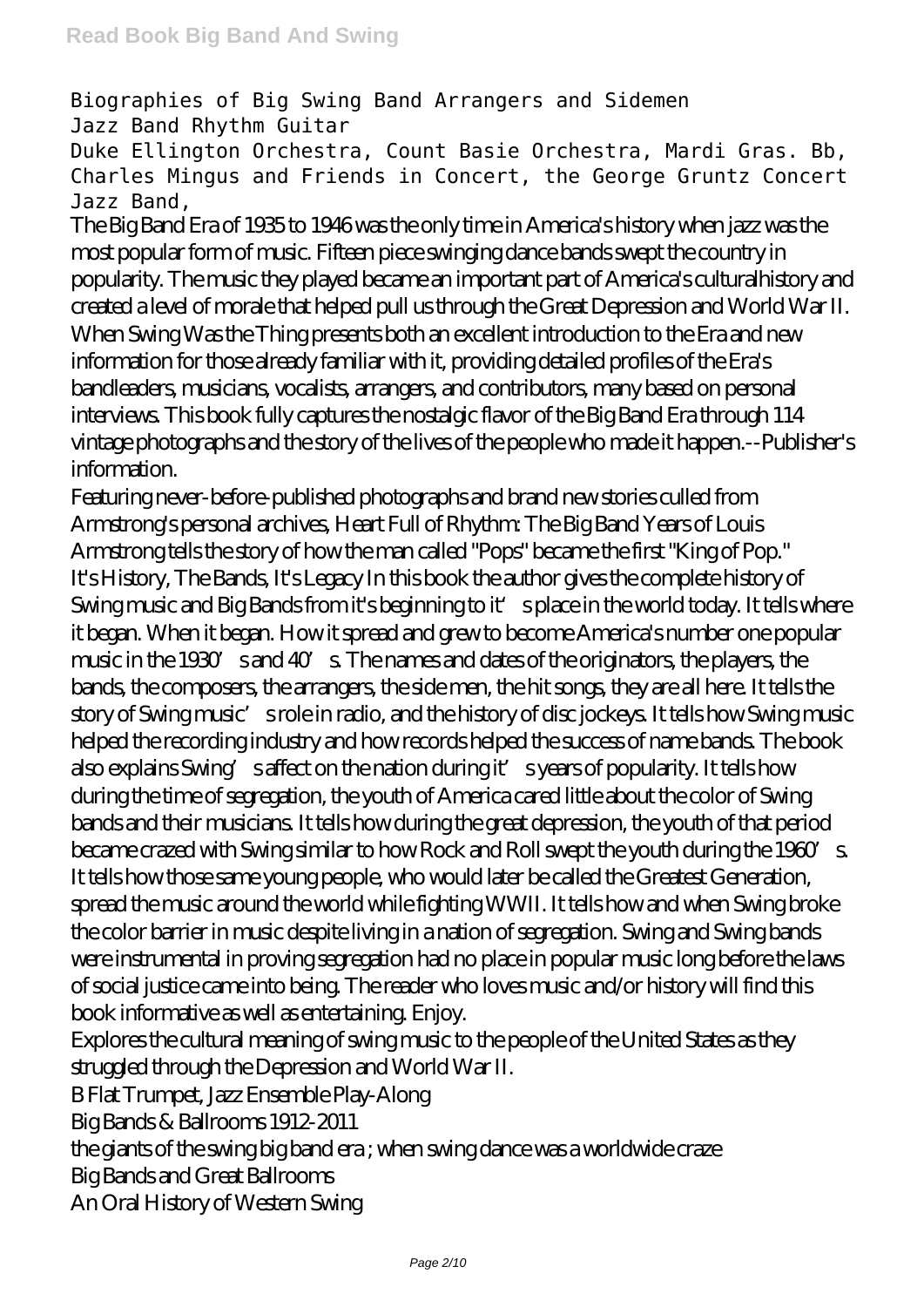Biographies of Big Swing Band Arrangers and Sidemen Jazz Band Rhythm Guitar

Duke Ellington Orchestra, Count Basie Orchestra, Mardi Gras. Bb, Charles Mingus and Friends in Concert, the George Gruntz Concert Jazz Band,

The Big Band Era of 1935 to 1946 was the only time in America's history when jazz was the most popular form of music. Fifteen piece swinging dance bands swept the country in popularity. The music they played became an important part of America's culturalhistory and created a level of morale that helped pull us through the Great Depression and World War II. When Swing Was the Thing presents both an excellent introduction to the Era and new information for those already familiar with it, providing detailed profiles of the Era's bandleaders, musicians, vocalists, arrangers, and contributors, many based on personal interviews. This book fully captures the nostalgic flavor of the Big Band Era through 114 vintage photographs and the story of the lives of the people who made it happen.--Publisher's information.

Featuring never-before-published photographs and brand new stories culled from Armstrong's personal archives, Heart Full of Rhythm: The Big Band Years of Louis Armstrong tells the story of how the man called "Pops" became the first "King of Pop." It's History, The Bands, It's Legacy In this book the author gives the complete history of Swing music and Big Bands from it's beginning to it' splace in the world today. It tells where it began. When it began. How it spread and grew to become America's number one popular music in the  $1930$  s and  $40$  s. The names and dates of the originators, the players, the bands, the composers, the arrangers, the side men, the hit songs, they are all here. It tells the story of Swing music's role in radio, and the history of disc jockeys. It tells how Swing music helped the recording industry and how records helped the success of name bands. The book also explains Swing's affect on the nation during it's years of popularity. It tells how during the time of segregation, the youth of America cared little about the color of Swing bands and their musicians. It tells how during the great depression, the youth of that period became crazed with Swing similar to how Rock and Roll swept the youth during the 1960  $\,$  s. It tells how those same young people, who would later be called the Greatest Generation, spread the music around the world while fighting WWII. It tells how and when Swing broke the color barrier in music despite living in a nation of segregation. Swing and Swing bands were instrumental in proving segregation had no place in popular music long before the laws of social justice came into being. The reader who loves music and/or history will find this book informative as well as entertaining. Enjoy.

Explores the cultural meaning of swing music to the people of the United States as they struggled through the Depression and World War II.

B Flat Trumpet, Jazz Ensemble Play-Along

Big Bands & Ballrooms 1912-2011

the giants of the swing big band era ; when swing dance was a worldwide craze

Big Bands and Great Ballrooms

An Oral History of Western Swing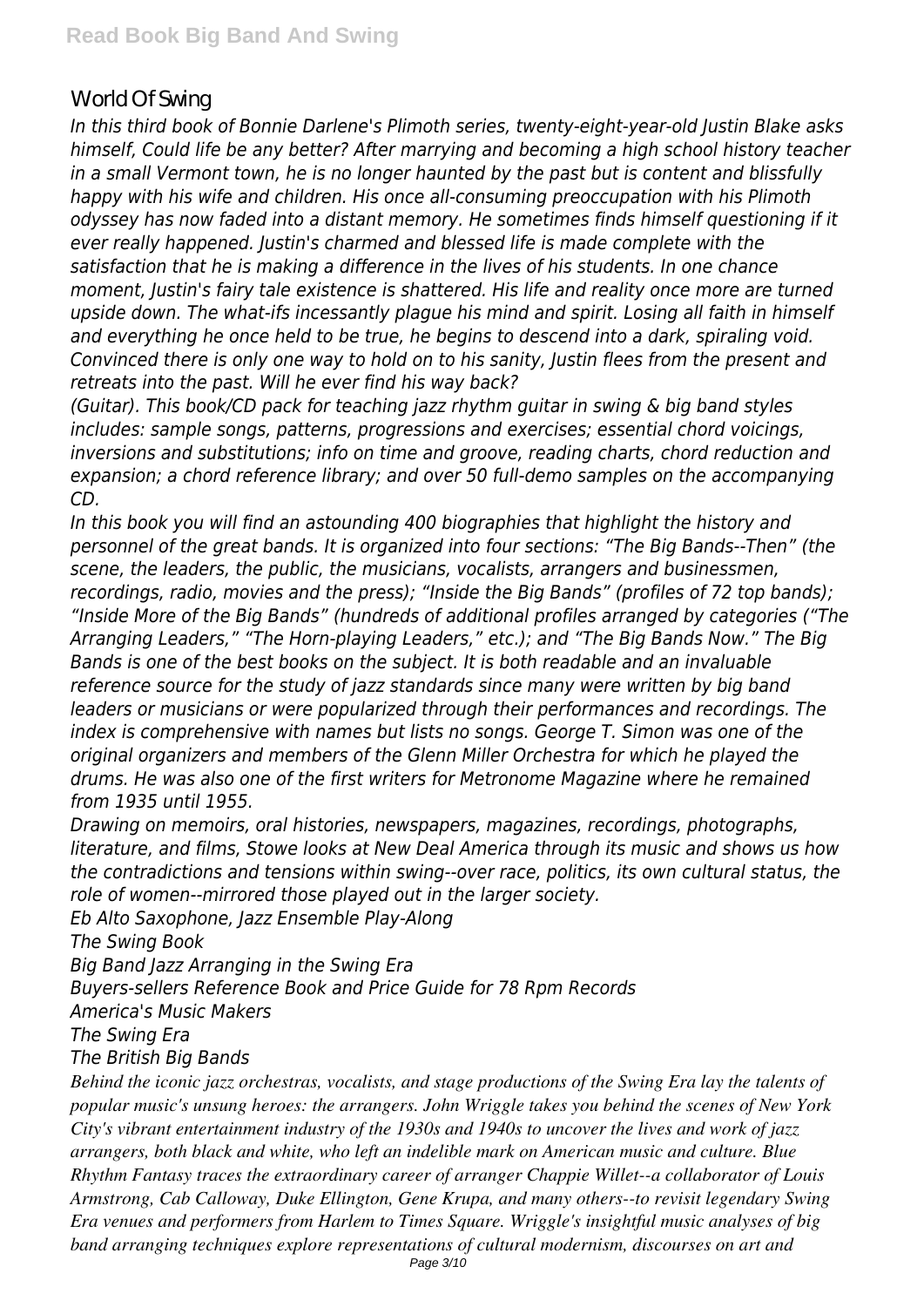## World Of Swing

*In this third book of Bonnie Darlene's Plimoth series, twenty-eight-year-old Justin Blake asks himself, Could life be any better? After marrying and becoming a high school history teacher in a small Vermont town, he is no longer haunted by the past but is content and blissfully happy with his wife and children. His once all-consuming preoccupation with his Plimoth odyssey has now faded into a distant memory. He sometimes finds himself questioning if it ever really happened. Justin's charmed and blessed life is made complete with the satisfaction that he is making a difference in the lives of his students. In one chance moment, Justin's fairy tale existence is shattered. His life and reality once more are turned upside down. The what-ifs incessantly plague his mind and spirit. Losing all faith in himself and everything he once held to be true, he begins to descend into a dark, spiraling void. Convinced there is only one way to hold on to his sanity, Justin flees from the present and retreats into the past. Will he ever find his way back?*

*(Guitar). This book/CD pack for teaching jazz rhythm guitar in swing & big band styles includes: sample songs, patterns, progressions and exercises; essential chord voicings, inversions and substitutions; info on time and groove, reading charts, chord reduction and expansion; a chord reference library; and over 50 full-demo samples on the accompanying CD.*

*In this book you will find an astounding 400 biographies that highlight the history and personnel of the great bands. It is organized into four sections: "The Big Bands--Then" (the scene, the leaders, the public, the musicians, vocalists, arrangers and businessmen, recordings, radio, movies and the press); "Inside the Big Bands" (profiles of 72 top bands); "Inside More of the Big Bands" (hundreds of additional profiles arranged by categories ("The Arranging Leaders," "The Horn-playing Leaders," etc.); and "The Big Bands Now." The Big Bands is one of the best books on the subject. It is both readable and an invaluable reference source for the study of jazz standards since many were written by big band leaders or musicians or were popularized through their performances and recordings. The index is comprehensive with names but lists no songs. George T. Simon was one of the original organizers and members of the Glenn Miller Orchestra for which he played the drums. He was also one of the first writers for Metronome Magazine where he remained from 1935 until 1955.*

*Drawing on memoirs, oral histories, newspapers, magazines, recordings, photographs, literature, and films, Stowe looks at New Deal America through its music and shows us how the contradictions and tensions within swing--over race, politics, its own cultural status, the role of women--mirrored those played out in the larger society.*

*Eb Alto Saxophone, Jazz Ensemble Play-Along*

*The Swing Book*

*Big Band Jazz Arranging in the Swing Era*

*Buyers-sellers Reference Book and Price Guide for 78 Rpm Records*

*America's Music Makers*

*The Swing Era*

## *The British Big Bands*

*Behind the iconic jazz orchestras, vocalists, and stage productions of the Swing Era lay the talents of popular music's unsung heroes: the arrangers. John Wriggle takes you behind the scenes of New York City's vibrant entertainment industry of the 1930s and 1940s to uncover the lives and work of jazz arrangers, both black and white, who left an indelible mark on American music and culture. Blue Rhythm Fantasy traces the extraordinary career of arranger Chappie Willet--a collaborator of Louis Armstrong, Cab Calloway, Duke Ellington, Gene Krupa, and many others--to revisit legendary Swing Era venues and performers from Harlem to Times Square. Wriggle's insightful music analyses of big band arranging techniques explore representations of cultural modernism, discourses on art and* Page 3/10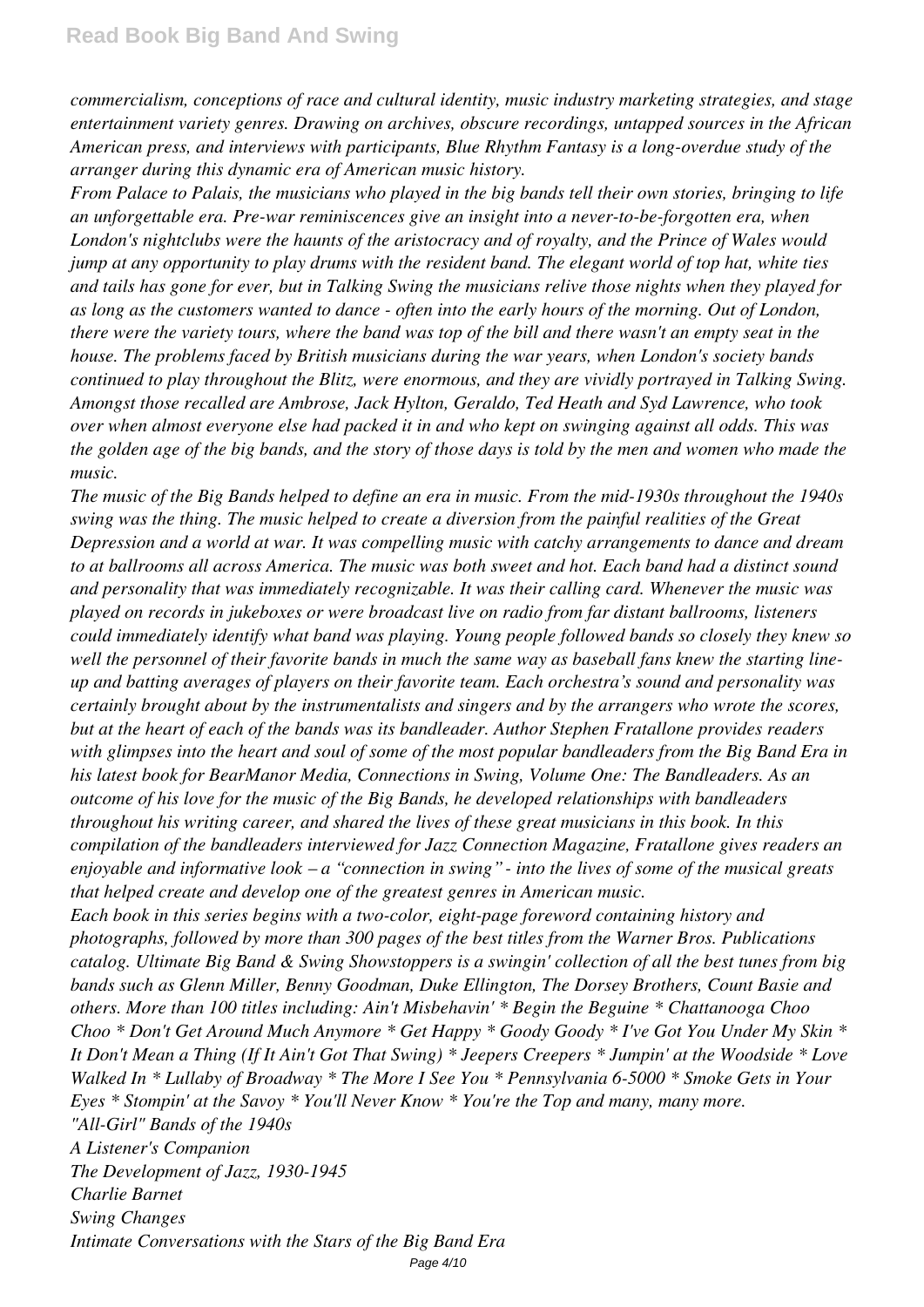*commercialism, conceptions of race and cultural identity, music industry marketing strategies, and stage entertainment variety genres. Drawing on archives, obscure recordings, untapped sources in the African American press, and interviews with participants, Blue Rhythm Fantasy is a long-overdue study of the arranger during this dynamic era of American music history.*

*From Palace to Palais, the musicians who played in the big bands tell their own stories, bringing to life an unforgettable era. Pre-war reminiscences give an insight into a never-to-be-forgotten era, when London's nightclubs were the haunts of the aristocracy and of royalty, and the Prince of Wales would jump at any opportunity to play drums with the resident band. The elegant world of top hat, white ties and tails has gone for ever, but in Talking Swing the musicians relive those nights when they played for as long as the customers wanted to dance - often into the early hours of the morning. Out of London, there were the variety tours, where the band was top of the bill and there wasn't an empty seat in the house. The problems faced by British musicians during the war years, when London's society bands continued to play throughout the Blitz, were enormous, and they are vividly portrayed in Talking Swing. Amongst those recalled are Ambrose, Jack Hylton, Geraldo, Ted Heath and Syd Lawrence, who took over when almost everyone else had packed it in and who kept on swinging against all odds. This was the golden age of the big bands, and the story of those days is told by the men and women who made the music.*

*The music of the Big Bands helped to define an era in music. From the mid-1930s throughout the 1940s swing was the thing. The music helped to create a diversion from the painful realities of the Great Depression and a world at war. It was compelling music with catchy arrangements to dance and dream to at ballrooms all across America. The music was both sweet and hot. Each band had a distinct sound and personality that was immediately recognizable. It was their calling card. Whenever the music was played on records in jukeboxes or were broadcast live on radio from far distant ballrooms, listeners could immediately identify what band was playing. Young people followed bands so closely they knew so well the personnel of their favorite bands in much the same way as baseball fans knew the starting lineup and batting averages of players on their favorite team. Each orchestra's sound and personality was certainly brought about by the instrumentalists and singers and by the arrangers who wrote the scores, but at the heart of each of the bands was its bandleader. Author Stephen Fratallone provides readers with glimpses into the heart and soul of some of the most popular bandleaders from the Big Band Era in his latest book for BearManor Media, Connections in Swing, Volume One: The Bandleaders. As an outcome of his love for the music of the Big Bands, he developed relationships with bandleaders throughout his writing career, and shared the lives of these great musicians in this book. In this compilation of the bandleaders interviewed for Jazz Connection Magazine, Fratallone gives readers an enjoyable and informative look – a "connection in swing" - into the lives of some of the musical greats that helped create and develop one of the greatest genres in American music.*

*Each book in this series begins with a two-color, eight-page foreword containing history and photographs, followed by more than 300 pages of the best titles from the Warner Bros. Publications catalog. Ultimate Big Band & Swing Showstoppers is a swingin' collection of all the best tunes from big bands such as Glenn Miller, Benny Goodman, Duke Ellington, The Dorsey Brothers, Count Basie and others. More than 100 titles including: Ain't Misbehavin' \* Begin the Beguine \* Chattanooga Choo Choo \* Don't Get Around Much Anymore \* Get Happy \* Goody Goody \* I've Got You Under My Skin \* It Don't Mean a Thing (If It Ain't Got That Swing) \* Jeepers Creepers \* Jumpin' at the Woodside \* Love Walked In \* Lullaby of Broadway \* The More I See You \* Pennsylvania 6-5000 \* Smoke Gets in Your Eyes \* Stompin' at the Savoy \* You'll Never Know \* You're the Top and many, many more. "All-Girl" Bands of the 1940s A Listener's Companion The Development of Jazz, 1930-1945*

*Charlie Barnet*

*Swing Changes*

*Intimate Conversations with the Stars of the Big Band Era*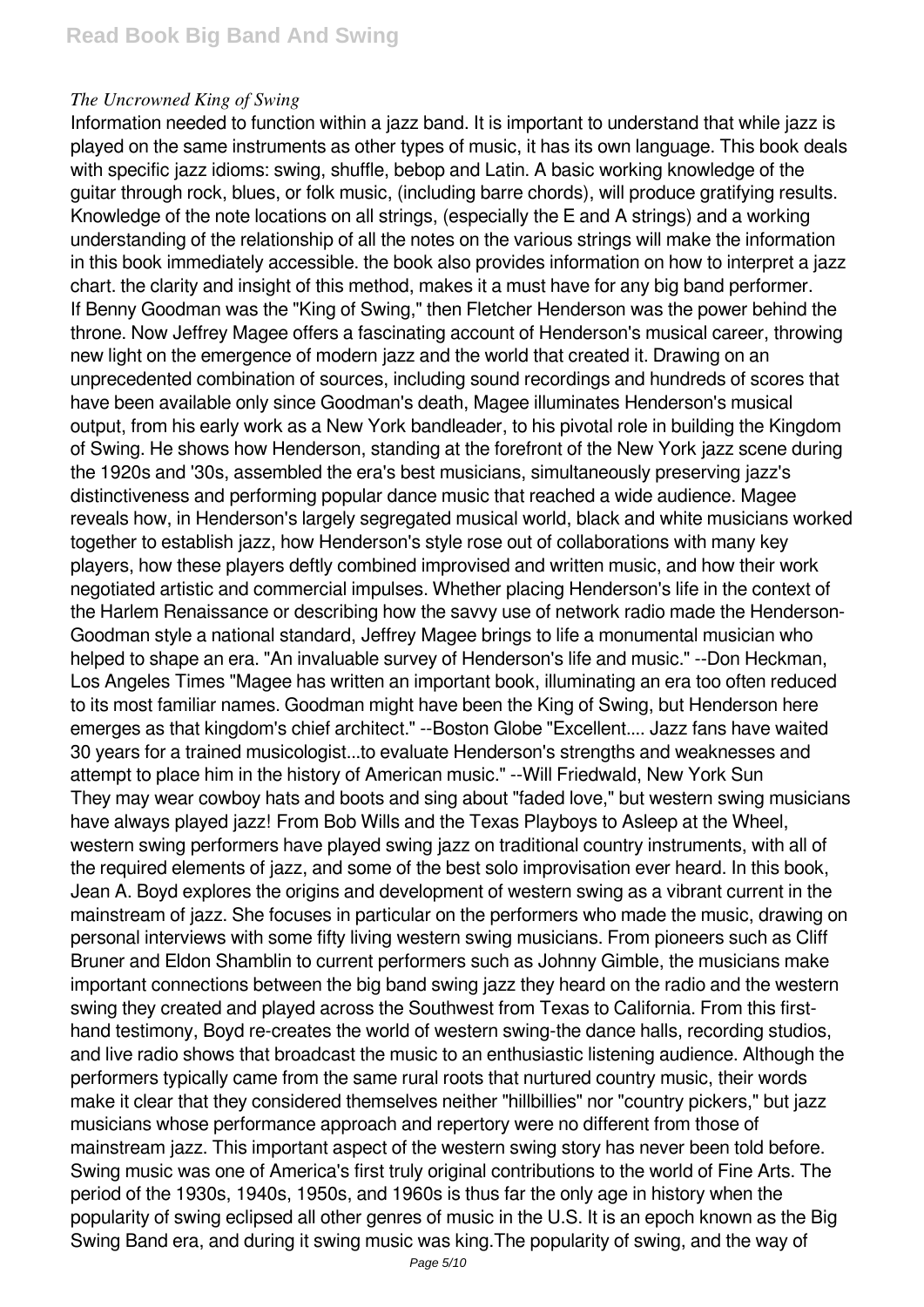## *The Uncrowned King of Swing*

Information needed to function within a jazz band. It is important to understand that while jazz is played on the same instruments as other types of music, it has its own language. This book deals with specific jazz idioms: swing, shuffle, bebop and Latin. A basic working knowledge of the guitar through rock, blues, or folk music, (including barre chords), will produce gratifying results. Knowledge of the note locations on all strings, (especially the E and A strings) and a working understanding of the relationship of all the notes on the various strings will make the information in this book immediately accessible. the book also provides information on how to interpret a jazz chart. the clarity and insight of this method, makes it a must have for any big band performer. If Benny Goodman was the "King of Swing," then Fletcher Henderson was the power behind the throne. Now Jeffrey Magee offers a fascinating account of Henderson's musical career, throwing new light on the emergence of modern jazz and the world that created it. Drawing on an unprecedented combination of sources, including sound recordings and hundreds of scores that have been available only since Goodman's death, Magee illuminates Henderson's musical output, from his early work as a New York bandleader, to his pivotal role in building the Kingdom of Swing. He shows how Henderson, standing at the forefront of the New York jazz scene during the 1920s and '30s, assembled the era's best musicians, simultaneously preserving jazz's distinctiveness and performing popular dance music that reached a wide audience. Magee reveals how, in Henderson's largely segregated musical world, black and white musicians worked together to establish jazz, how Henderson's style rose out of collaborations with many key players, how these players deftly combined improvised and written music, and how their work negotiated artistic and commercial impulses. Whether placing Henderson's life in the context of the Harlem Renaissance or describing how the savvy use of network radio made the Henderson-Goodman style a national standard, Jeffrey Magee brings to life a monumental musician who helped to shape an era. "An invaluable survey of Henderson's life and music." --Don Heckman, Los Angeles Times "Magee has written an important book, illuminating an era too often reduced to its most familiar names. Goodman might have been the King of Swing, but Henderson here emerges as that kingdom's chief architect." --Boston Globe "Excellent.... Jazz fans have waited 30 years for a trained musicologist...to evaluate Henderson's strengths and weaknesses and attempt to place him in the history of American music." --Will Friedwald, New York Sun They may wear cowboy hats and boots and sing about "faded love," but western swing musicians have always played jazz! From Bob Wills and the Texas Playboys to Asleep at the Wheel, western swing performers have played swing jazz on traditional country instruments, with all of the required elements of jazz, and some of the best solo improvisation ever heard. In this book, Jean A. Boyd explores the origins and development of western swing as a vibrant current in the mainstream of jazz. She focuses in particular on the performers who made the music, drawing on personal interviews with some fifty living western swing musicians. From pioneers such as Cliff Bruner and Eldon Shamblin to current performers such as Johnny Gimble, the musicians make important connections between the big band swing jazz they heard on the radio and the western swing they created and played across the Southwest from Texas to California. From this firsthand testimony, Boyd re-creates the world of western swing-the dance halls, recording studios, and live radio shows that broadcast the music to an enthusiastic listening audience. Although the performers typically came from the same rural roots that nurtured country music, their words make it clear that they considered themselves neither "hillbillies" nor "country pickers," but jazz musicians whose performance approach and repertory were no different from those of mainstream jazz. This important aspect of the western swing story has never been told before. Swing music was one of America's first truly original contributions to the world of Fine Arts. The period of the 1930s, 1940s, 1950s, and 1960s is thus far the only age in history when the popularity of swing eclipsed all other genres of music in the U.S. It is an epoch known as the Big Swing Band era, and during it swing music was king.The popularity of swing, and the way of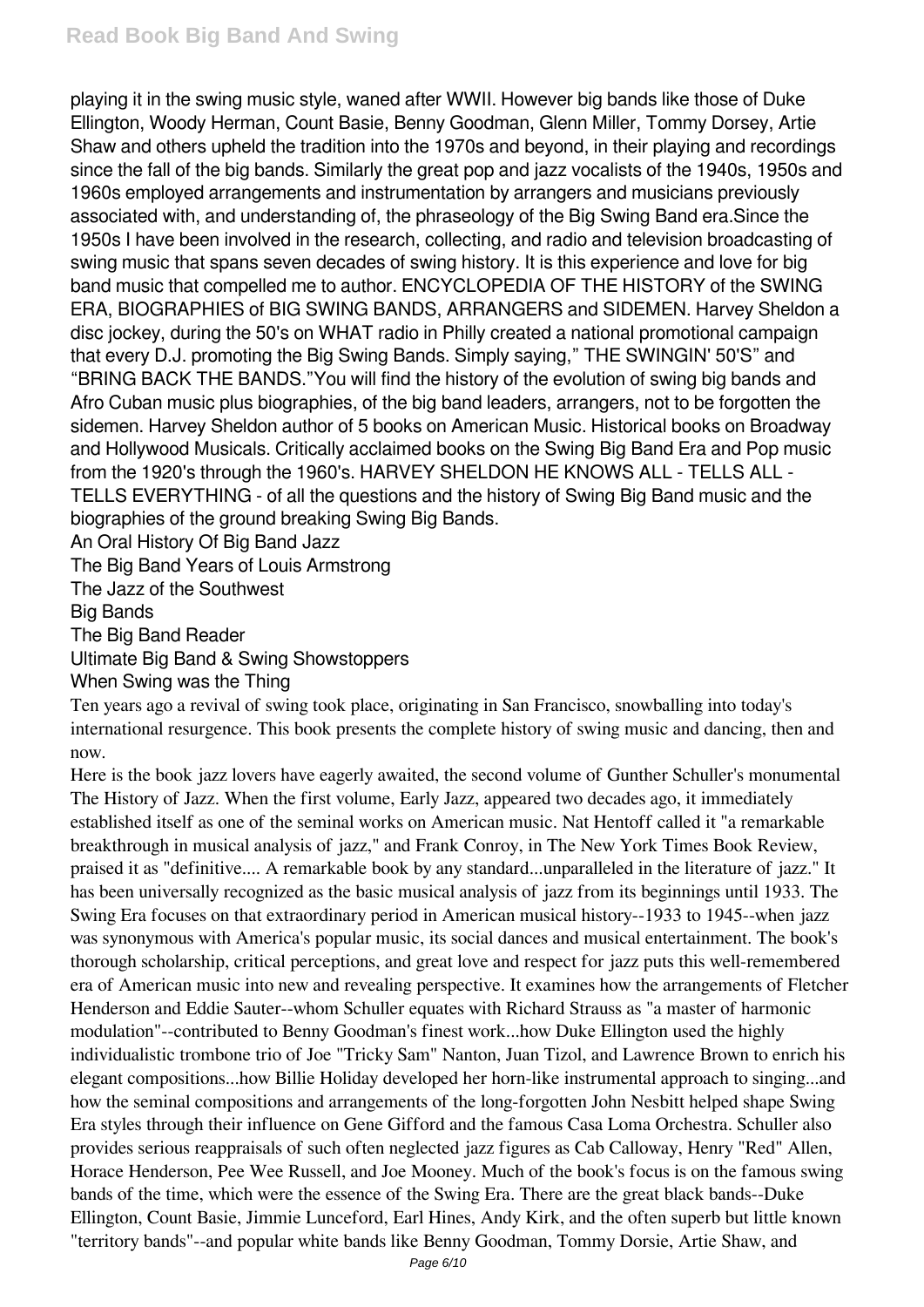playing it in the swing music style, waned after WWII. However big bands like those of Duke Ellington, Woody Herman, Count Basie, Benny Goodman, Glenn Miller, Tommy Dorsey, Artie Shaw and others upheld the tradition into the 1970s and beyond, in their playing and recordings since the fall of the big bands. Similarly the great pop and jazz vocalists of the 1940s, 1950s and 1960s employed arrangements and instrumentation by arrangers and musicians previously associated with, and understanding of, the phraseology of the Big Swing Band era.Since the 1950s I have been involved in the research, collecting, and radio and television broadcasting of swing music that spans seven decades of swing history. It is this experience and love for big band music that compelled me to author. ENCYCLOPEDIA OF THE HISTORY of the SWING ERA, BIOGRAPHIES of BIG SWING BANDS, ARRANGERS and SIDEMEN. Harvey Sheldon a disc jockey, during the 50's on WHAT radio in Philly created a national promotional campaign that every D.J. promoting the Big Swing Bands. Simply saying," THE SWINGIN' 50'S" and "BRING BACK THE BANDS."You will find the history of the evolution of swing big bands and Afro Cuban music plus biographies, of the big band leaders, arrangers, not to be forgotten the sidemen. Harvey Sheldon author of 5 books on American Music. Historical books on Broadway and Hollywood Musicals. Critically acclaimed books on the Swing Big Band Era and Pop music from the 1920's through the 1960's. HARVEY SHELDON HE KNOWS ALL - TELLS ALL - TELLS EVERYTHING - of all the questions and the history of Swing Big Band music and the biographies of the ground breaking Swing Big Bands.

An Oral History Of Big Band Jazz

The Big Band Years of Louis Armstrong

The Jazz of the Southwest

Big Bands

The Big Band Reader

Ultimate Big Band & Swing Showstoppers

When Swing was the Thing

Ten years ago a revival of swing took place, originating in San Francisco, snowballing into today's international resurgence. This book presents the complete history of swing music and dancing, then and now.

Here is the book jazz lovers have eagerly awaited, the second volume of Gunther Schuller's monumental The History of Jazz. When the first volume, Early Jazz, appeared two decades ago, it immediately established itself as one of the seminal works on American music. Nat Hentoff called it "a remarkable breakthrough in musical analysis of jazz," and Frank Conroy, in The New York Times Book Review, praised it as "definitive.... A remarkable book by any standard...unparalleled in the literature of jazz." It has been universally recognized as the basic musical analysis of jazz from its beginnings until 1933. The Swing Era focuses on that extraordinary period in American musical history--1933 to 1945--when jazz was synonymous with America's popular music, its social dances and musical entertainment. The book's thorough scholarship, critical perceptions, and great love and respect for jazz puts this well-remembered era of American music into new and revealing perspective. It examines how the arrangements of Fletcher Henderson and Eddie Sauter--whom Schuller equates with Richard Strauss as "a master of harmonic modulation"--contributed to Benny Goodman's finest work...how Duke Ellington used the highly individualistic trombone trio of Joe "Tricky Sam" Nanton, Juan Tizol, and Lawrence Brown to enrich his elegant compositions...how Billie Holiday developed her horn-like instrumental approach to singing...and how the seminal compositions and arrangements of the long-forgotten John Nesbitt helped shape Swing Era styles through their influence on Gene Gifford and the famous Casa Loma Orchestra. Schuller also provides serious reappraisals of such often neglected jazz figures as Cab Calloway, Henry "Red" Allen, Horace Henderson, Pee Wee Russell, and Joe Mooney. Much of the book's focus is on the famous swing bands of the time, which were the essence of the Swing Era. There are the great black bands--Duke Ellington, Count Basie, Jimmie Lunceford, Earl Hines, Andy Kirk, and the often superb but little known "territory bands"--and popular white bands like Benny Goodman, Tommy Dorsie, Artie Shaw, and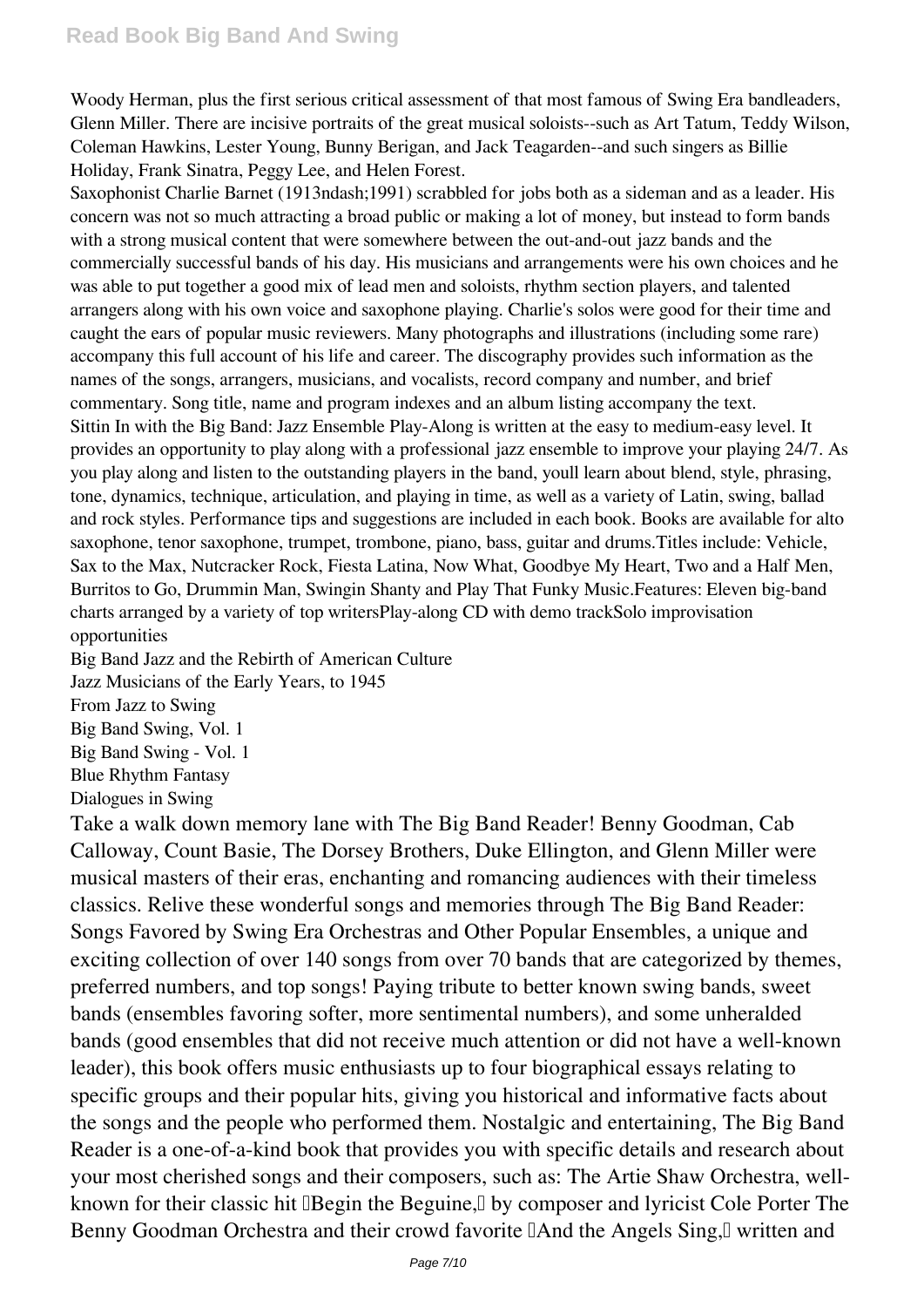Woody Herman, plus the first serious critical assessment of that most famous of Swing Era bandleaders, Glenn Miller. There are incisive portraits of the great musical soloists--such as Art Tatum, Teddy Wilson, Coleman Hawkins, Lester Young, Bunny Berigan, and Jack Teagarden--and such singers as Billie Holiday, Frank Sinatra, Peggy Lee, and Helen Forest.

Saxophonist Charlie Barnet (1913ndash;1991) scrabbled for jobs both as a sideman and as a leader. His concern was not so much attracting a broad public or making a lot of money, but instead to form bands with a strong musical content that were somewhere between the out-and-out jazz bands and the commercially successful bands of his day. His musicians and arrangements were his own choices and he was able to put together a good mix of lead men and soloists, rhythm section players, and talented arrangers along with his own voice and saxophone playing. Charlie's solos were good for their time and caught the ears of popular music reviewers. Many photographs and illustrations (including some rare) accompany this full account of his life and career. The discography provides such information as the names of the songs, arrangers, musicians, and vocalists, record company and number, and brief commentary. Song title, name and program indexes and an album listing accompany the text. Sittin In with the Big Band: Jazz Ensemble Play-Along is written at the easy to medium-easy level. It provides an opportunity to play along with a professional jazz ensemble to improve your playing 24/7. As you play along and listen to the outstanding players in the band, youll learn about blend, style, phrasing, tone, dynamics, technique, articulation, and playing in time, as well as a variety of Latin, swing, ballad and rock styles. Performance tips and suggestions are included in each book. Books are available for alto saxophone, tenor saxophone, trumpet, trombone, piano, bass, guitar and drums.Titles include: Vehicle, Sax to the Max, Nutcracker Rock, Fiesta Latina, Now What, Goodbye My Heart, Two and a Half Men, Burritos to Go, Drummin Man, Swingin Shanty and Play That Funky Music.Features: Eleven big-band charts arranged by a variety of top writersPlay-along CD with demo trackSolo improvisation opportunities

Big Band Jazz and the Rebirth of American Culture Jazz Musicians of the Early Years, to 1945 From Jazz to Swing Big Band Swing, Vol. 1 Big Band Swing - Vol. 1 Blue Rhythm Fantasy Dialogues in Swing

Take a walk down memory lane with The Big Band Reader! Benny Goodman, Cab Calloway, Count Basie, The Dorsey Brothers, Duke Ellington, and Glenn Miller were musical masters of their eras, enchanting and romancing audiences with their timeless classics. Relive these wonderful songs and memories through The Big Band Reader: Songs Favored by Swing Era Orchestras and Other Popular Ensembles, a unique and exciting collection of over 140 songs from over 70 bands that are categorized by themes, preferred numbers, and top songs! Paying tribute to better known swing bands, sweet bands (ensembles favoring softer, more sentimental numbers), and some unheralded bands (good ensembles that did not receive much attention or did not have a well-known leader), this book offers music enthusiasts up to four biographical essays relating to specific groups and their popular hits, giving you historical and informative facts about the songs and the people who performed them. Nostalgic and entertaining, The Big Band Reader is a one-of-a-kind book that provides you with specific details and research about your most cherished songs and their composers, such as: The Artie Shaw Orchestra, wellknown for their classic hit **Begin** the Beguine, by composer and lyricist Cole Porter The Benny Goodman Orchestra and their crowd favorite  $\mathbb{I}$ And the Angels Sing, $\mathbb{I}$  written and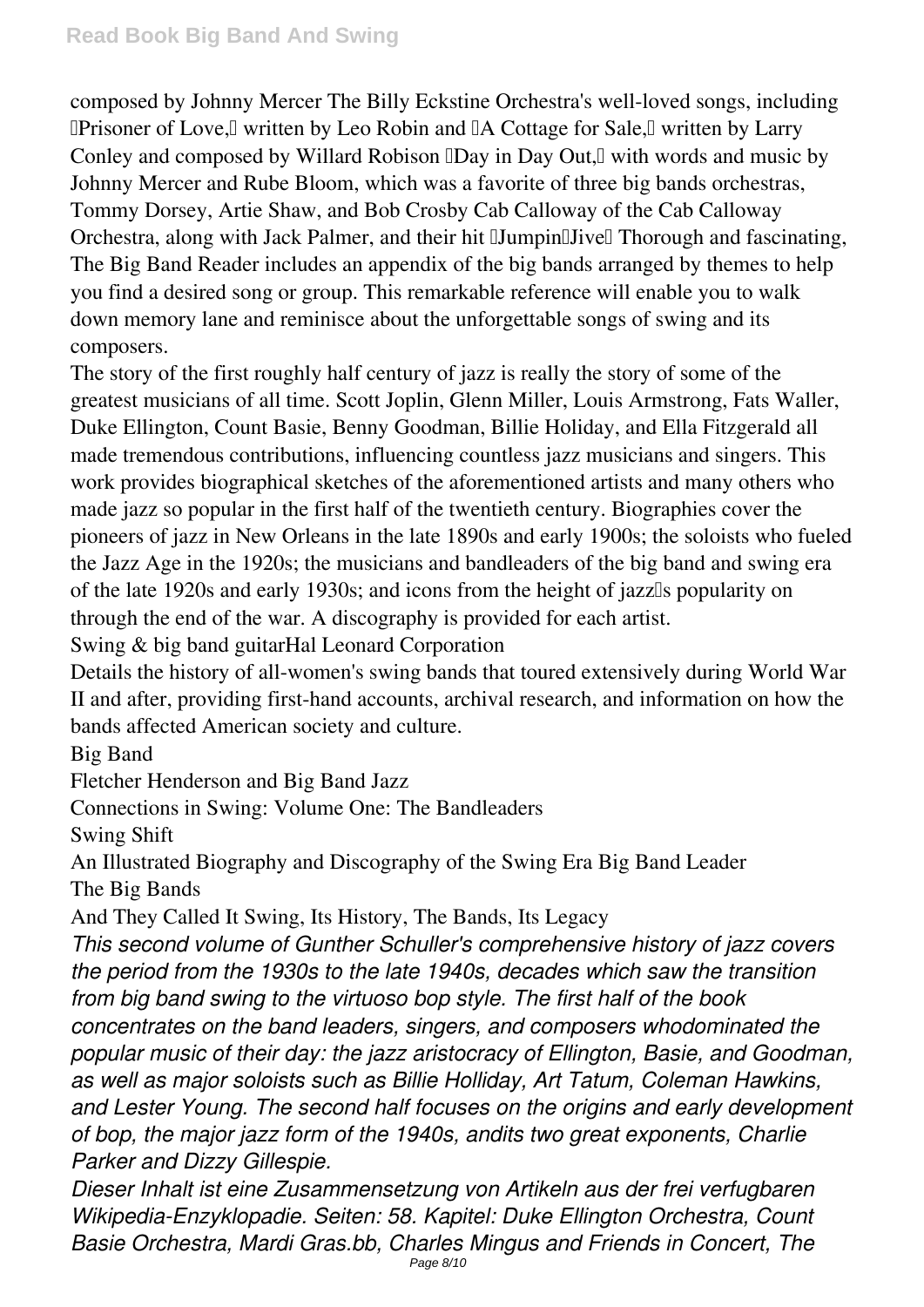composed by Johnny Mercer The Billy Eckstine Orchestra's well-loved songs, including **"IPrisoner of Love, "** written by Leo Robin and "A Cottage for Sale," written by Larry Conley and composed by Willard Robison  $\Box$ Day in Day Out, $\Box$  with words and music by Johnny Mercer and Rube Bloom, which was a favorite of three big bands orchestras, Tommy Dorsey, Artie Shaw, and Bob Crosby Cab Calloway of the Cab Calloway Orchestra, along with Jack Palmer, and their hit **IJumpin** Jive Thorough and fascinating, The Big Band Reader includes an appendix of the big bands arranged by themes to help you find a desired song or group. This remarkable reference will enable you to walk down memory lane and reminisce about the unforgettable songs of swing and its composers.

The story of the first roughly half century of jazz is really the story of some of the greatest musicians of all time. Scott Joplin, Glenn Miller, Louis Armstrong, Fats Waller, Duke Ellington, Count Basie, Benny Goodman, Billie Holiday, and Ella Fitzgerald all made tremendous contributions, influencing countless jazz musicians and singers. This work provides biographical sketches of the aforementioned artists and many others who made jazz so popular in the first half of the twentieth century. Biographies cover the pioneers of jazz in New Orleans in the late 1890s and early 1900s; the soloists who fueled the Jazz Age in the 1920s; the musicians and bandleaders of the big band and swing era of the late 1920s and early 1930s; and icons from the height of jazz<sup>I</sup>s popularity on through the end of the war. A discography is provided for each artist.

Swing & big band guitarHal Leonard Corporation

Details the history of all-women's swing bands that toured extensively during World War II and after, providing first-hand accounts, archival research, and information on how the bands affected American society and culture.

Big Band

Fletcher Henderson and Big Band Jazz

Connections in Swing: Volume One: The Bandleaders

Swing Shift

An Illustrated Biography and Discography of the Swing Era Big Band Leader The Big Bands

And They Called It Swing, Its History, The Bands, Its Legacy

*This second volume of Gunther Schuller's comprehensive history of jazz covers the period from the 1930s to the late 1940s, decades which saw the transition from big band swing to the virtuoso bop style. The first half of the book concentrates on the band leaders, singers, and composers whodominated the popular music of their day: the jazz aristocracy of Ellington, Basie, and Goodman, as well as major soloists such as Billie Holliday, Art Tatum, Coleman Hawkins, and Lester Young. The second half focuses on the origins and early development of bop, the major jazz form of the 1940s, andits two great exponents, Charlie Parker and Dizzy Gillespie.*

*Dieser Inhalt ist eine Zusammensetzung von Artikeln aus der frei verfugbaren Wikipedia-Enzyklopadie. Seiten: 58. Kapitel: Duke Ellington Orchestra, Count Basie Orchestra, Mardi Gras.bb, Charles Mingus and Friends in Concert, The* Page 8/10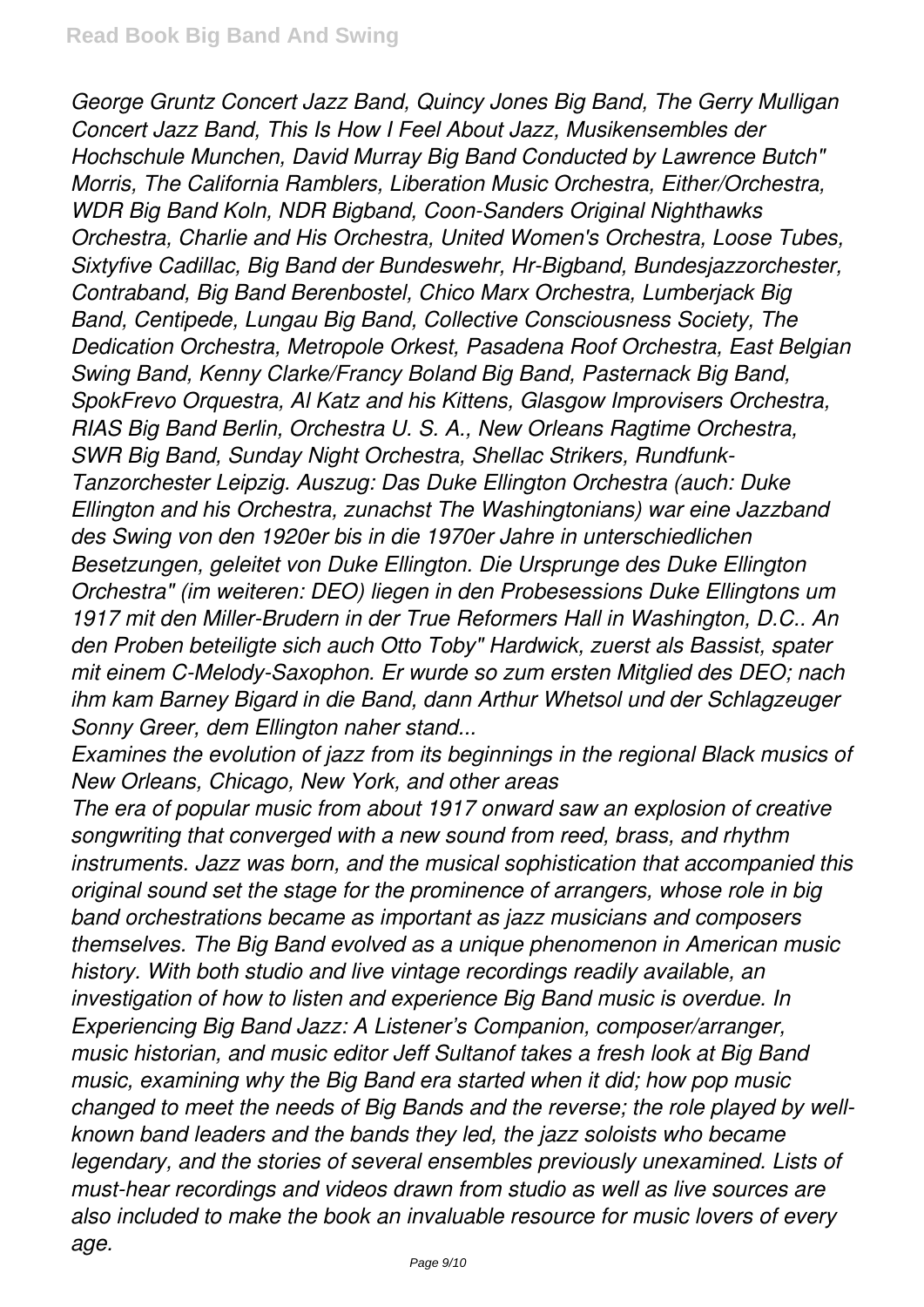*George Gruntz Concert Jazz Band, Quincy Jones Big Band, The Gerry Mulligan Concert Jazz Band, This Is How I Feel About Jazz, Musikensembles der Hochschule Munchen, David Murray Big Band Conducted by Lawrence Butch" Morris, The California Ramblers, Liberation Music Orchestra, Either/Orchestra, WDR Big Band Koln, NDR Bigband, Coon-Sanders Original Nighthawks Orchestra, Charlie and His Orchestra, United Women's Orchestra, Loose Tubes, Sixtyfive Cadillac, Big Band der Bundeswehr, Hr-Bigband, Bundesjazzorchester, Contraband, Big Band Berenbostel, Chico Marx Orchestra, Lumberjack Big Band, Centipede, Lungau Big Band, Collective Consciousness Society, The Dedication Orchestra, Metropole Orkest, Pasadena Roof Orchestra, East Belgian Swing Band, Kenny Clarke/Francy Boland Big Band, Pasternack Big Band, SpokFrevo Orquestra, Al Katz and his Kittens, Glasgow Improvisers Orchestra, RIAS Big Band Berlin, Orchestra U. S. A., New Orleans Ragtime Orchestra, SWR Big Band, Sunday Night Orchestra, Shellac Strikers, Rundfunk-Tanzorchester Leipzig. Auszug: Das Duke Ellington Orchestra (auch: Duke Ellington and his Orchestra, zunachst The Washingtonians) war eine Jazzband des Swing von den 1920er bis in die 1970er Jahre in unterschiedlichen Besetzungen, geleitet von Duke Ellington. Die Ursprunge des Duke Ellington Orchestra" (im weiteren: DEO) liegen in den Probesessions Duke Ellingtons um 1917 mit den Miller-Brudern in der True Reformers Hall in Washington, D.C.. An den Proben beteiligte sich auch Otto Toby" Hardwick, zuerst als Bassist, spater mit einem C-Melody-Saxophon. Er wurde so zum ersten Mitglied des DEO; nach ihm kam Barney Bigard in die Band, dann Arthur Whetsol und der Schlagzeuger Sonny Greer, dem Ellington naher stand...*

*Examines the evolution of jazz from its beginnings in the regional Black musics of New Orleans, Chicago, New York, and other areas*

*The era of popular music from about 1917 onward saw an explosion of creative songwriting that converged with a new sound from reed, brass, and rhythm instruments. Jazz was born, and the musical sophistication that accompanied this original sound set the stage for the prominence of arrangers, whose role in big band orchestrations became as important as jazz musicians and composers themselves. The Big Band evolved as a unique phenomenon in American music history. With both studio and live vintage recordings readily available, an investigation of how to listen and experience Big Band music is overdue. In Experiencing Big Band Jazz: A Listener's Companion, composer/arranger, music historian, and music editor Jeff Sultanof takes a fresh look at Big Band music, examining why the Big Band era started when it did; how pop music changed to meet the needs of Big Bands and the reverse; the role played by wellknown band leaders and the bands they led, the jazz soloists who became legendary, and the stories of several ensembles previously unexamined. Lists of must-hear recordings and videos drawn from studio as well as live sources are also included to make the book an invaluable resource for music lovers of every age.*